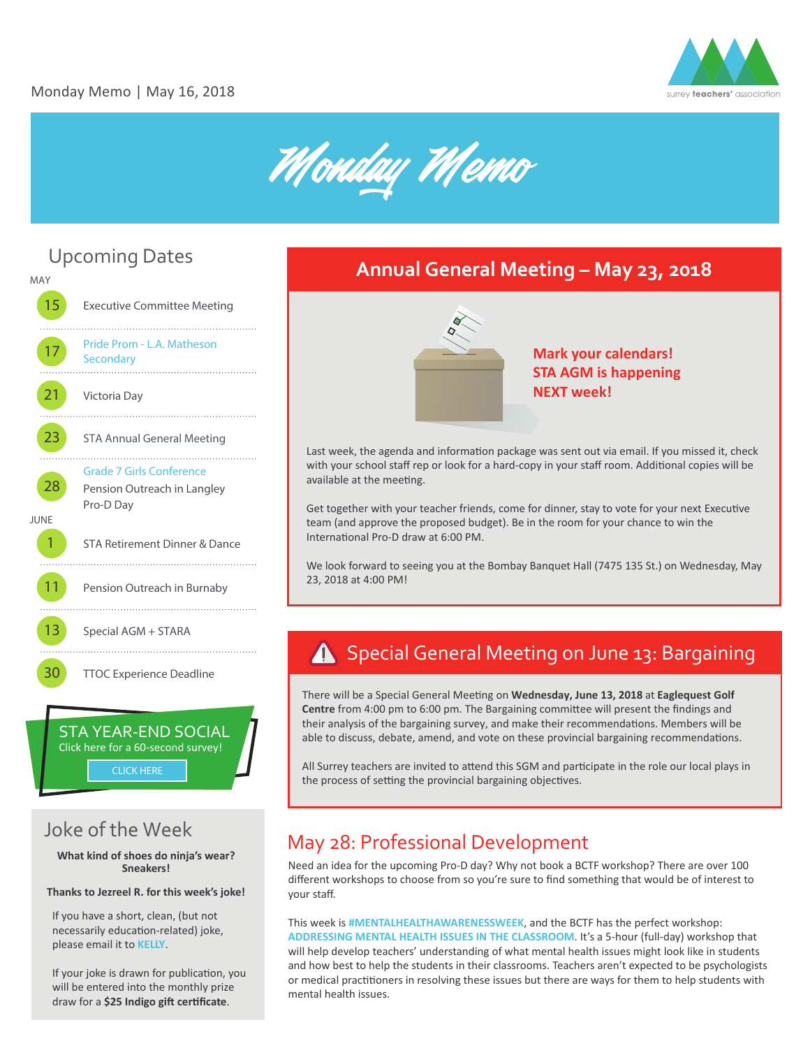





# Joke of the Week

**What kind of shoes do ninja's wear? Sneakers!**

**Thanks to Jezreel R. for this week's joke!**

If you have a short, clean, (but not necessarily education-related) joke, please email it to **[KELLY](mailto:hello@surreyteachers.org)**.

If your joke is drawn for publication, you will be entered into the monthly prize draw for a **\$25 Indigo gi� cer�ficate**.

## **Annual General Meeting – May 23, 2018**



**Mark your calendars! STA AGM is happening NEXT week!**

Last week, the agenda and information package was sent out via email. If you missed it, check with your school staff rep or look for a hard-copy in your staff room. Additional copies will be available at the meeting.

Get together with your teacher friends, come for dinner, stay to vote for your next Executive team (and approve the proposed budget). Be in the room for your chance to win the International Pro-D draw at 6:00 PM.

We look forward to seeing you at the Bombay Banquet Hall (7475 135 St.) on Wednesday, May 23, 2018 at 4:00 PM!

# Special General Meeting on June 13: Bargaining

There will be a Special General Mee�ng on **Wednesday, June 13, 2018** at **Eaglequest Golf Centre** from 4:00 pm to 6:00 pm. The Bargaining commi�ee will present the findings and their analysis of the bargaining survey, and make their recommendations. Members will be able to discuss, debate, amend, and vote on these provincial bargaining recommendations.

All Surrey teachers are invited to attend this SGM and participate in the role our local plays in the process of setting the provincial bargaining objectives.

#### May 28: Professional Development

Need an idea for the upcoming Pro-D day? Why not book a BCTF workshop? There are over 100 different workshops to choose from so you're sure to find something that would be of interest to your staff.

This week is **[#MENTALHEALTHAWARENESSWEEK](https://twitter.com/search?q=%23MentalHealthAwarenessWeek&src=tyah)**, and the BCTF has the perfect workshop: **[ADDRESSING MENTAL HEALTH ISSUES IN THE CLASSROOM](http://bctf.ca/PD/WorkshopDetail.aspx?id=43301)**. It's a 5-hour (full-day) workshop that will help develop teachers' understanding of what mental health issues might look like in students and how best to help the students in their classrooms. Teachers aren't expected to be psychologists or medical practitioners in resolving these issues but there are ways for them to help students with mental health issues.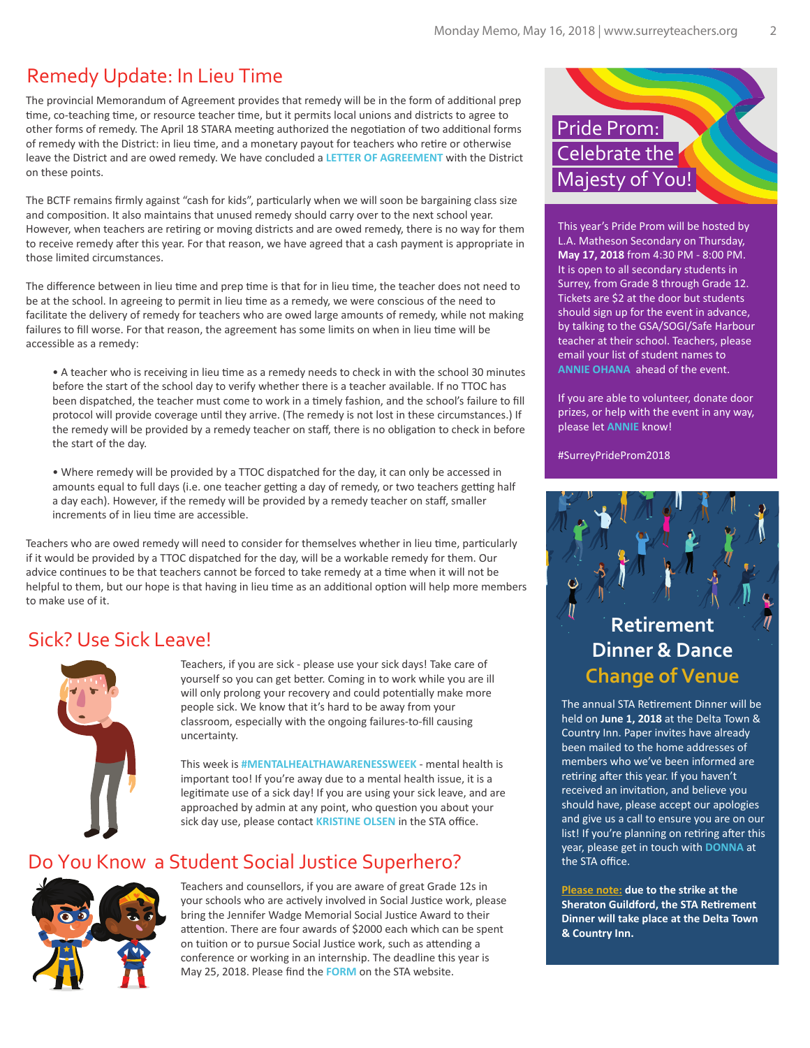#### Remedy Update: In Lieu Time

The provincial Memorandum of Agreement provides that remedy will be in the form of additional prep time, co-teaching time, or resource teacher time, but it permits local unions and districts to agree to other forms of remedy. The April 18 STARA meeting authorized the negotiation of two additional forms of remedy with the District: in lieu time, and a monetary payout for teachers who retire or otherwise leave the District and are owed remedy. We have concluded a **[LETTER OF AGREEMENT](http://www.surreyteachers.org/documents/MondayMemo/attachment/InLieuRemedyAgreement.pdf)** with the District on these points.

The BCTF remains firmly against "cash for kids", particularly when we will soon be bargaining class size and composition. It also maintains that unused remedy should carry over to the next school year. However, when teachers are retiring or moving districts and are owed remedy, there is no way for them to receive remedy after this year. For that reason, we have agreed that a cash payment is appropriate in those limited circumstances.

The difference between in lieu time and prep time is that for in lieu time, the teacher does not need to be at the school. In agreeing to permit in lieu time as a remedy, we were conscious of the need to facilitate the delivery of remedy for teachers who are owed large amounts of remedy, while not making failures to fill worse. For that reason, the agreement has some limits on when in lieu time will be accessible as a remedy:

• A teacher who is receiving in lieu time as a remedy needs to check in with the school 30 minutes before the start of the school day to verify whether there is a teacher available. If no TTOC has been dispatched, the teacher must come to work in a timely fashion, and the school's failure to fill protocol will provide coverage until they arrive. (The remedy is not lost in these circumstances.) If the remedy will be provided by a remedy teacher on staff, there is no obligation to check in before the start of the day.

• Where remedy will be provided by a TTOC dispatched for the day, it can only be accessed in amounts equal to full days (i.e. one teacher getting a day of remedy, or two teachers getting half a day each). However, if the remedy will be provided by a remedy teacher on staff, smaller increments of in lieu time are accessible.

Teachers who are owed remedy will need to consider for themselves whether in lieu time, particularly if it would be provided by a TTOC dispatched for the day, will be a workable remedy for them. Our advice continues to be that teachers cannot be forced to take remedy at a time when it will not be helpful to them, but our hope is that having in lieu time as an additional option will help more members to make use of it.

#### Sick? Use Sick Leave!



Teachers, if you are sick - please use your sick days! Take care of yourself so you can get better. Coming in to work while you are ill will only prolong your recovery and could potentially make more people sick. We know that it's hard to be away from your classroom, especially with the ongoing failures-to-fill causing uncertainty.

This week is **[#MENTALHEALTHAWARENESSWEEK](https://twitter.com/search?q=%23MentalHealthAwarenessWeek&src=tyah)** - mental health is important too! If you're away due to a mental health issue, it is a legitimate use of a sick day! If you are using your sick leave, and are approached by admin at any point, who question you about your sick day use, please contact **[KRISTINE OLSEN](mailto:grv-hs@surreyteachers.org)** in the STA office.

## Do You Know a Student Social Justice Superhero?



Teachers and counsellors, if you are aware of great Grade 12s in your schools who are actively involved in Social Justice work, please bring the Jennifer Wadge Memorial Social Justice Award to their attention. There are four awards of \$2000 each which can be spent on tuition or to pursue Social Justice work, such as attending a conference or working in an internship. The deadline this year is May 25, 2018. Please find the **[FORM](http://www.surreyteachers.org/documents/Forms/STA%20Jennifer%20Wadge%20award%202018.05.0.pdf)** on the STA website.

# Pride Prom: Celebrate the Majesty of You!

This year's Pride Prom will be hosted by L.A. Matheson Secondary on Thursday, **May 17, 2018** from 4:30 PM - 8:00 PM. It is open to all secondary students in Surrey, from Grade 8 through Grade 12. Tickets are \$2 at the door but students should sign up for the event in advance, by talking to the GSA/SOGI/Safe Harbour teacher at their school. Teachers, please email your list of student names to **ANNIE OHANA** ahead of the event.

[If you are able to v](mailto:ohana_a@surreyschools.ca)olunteer, donate door prizes, or help with the event in any way, please let **ANNIE** know!

#SurreyPrideProm2018

## **Retirement Dinner & Dance Change of Venue**

The annual STA Retirement Dinner will be held on **June 1, 2018** at the Delta Town & Country Inn. Paper invites have already been mailed to the home addresses of members who we've been informed are retiring after this year. If you haven't received an invitation, and believe you should have, please accept our apologies and give us a call to ensure you are on our list! If you're planning on retiring after this year, please get in touch with **[DONNA](mailto:donna@surreyteachers.org)** at the STA office.

**Please note: due to the strike at the Sheraton Guildford, the STA Retirement Dinner will take place at the Delta Town & Country Inn.**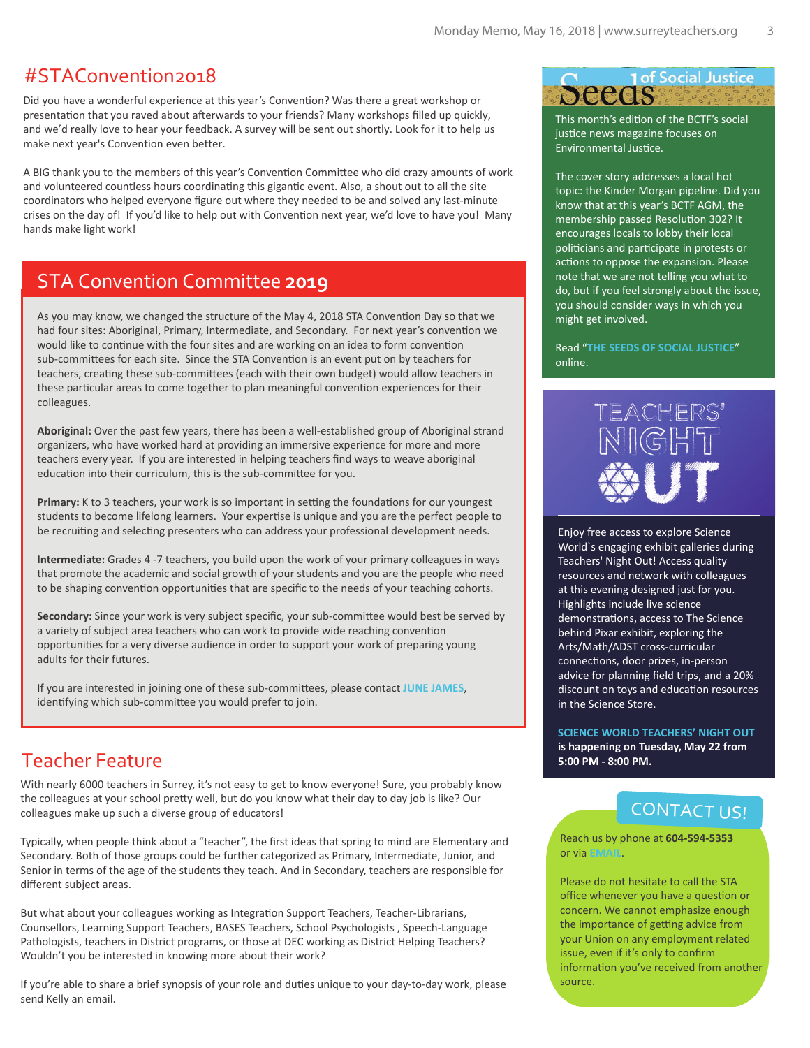#### #STAConvention2018

Did you have a wonderful experience at this year's Convention? Was there a great workshop or presentation that you raved about afterwards to your friends? Many workshops filled up quickly, and we'd really love to hear your feedback. A survey will be sent out shortly. Look for it to help us make next year's Convention even better.

A BIG thank you to the members of this year's Convention Committee who did crazy amounts of work and volunteered countless hours coordinating this gigantic event. Also, a shout out to all the site coordinators who helped everyone figure out where they needed to be and solved any last-minute crises on the day of! If you'd like to help out with Convention next year, we'd love to have you! Many hands make light work!

#### STA Convention Committee **2019**

As you may know, we changed the structure of the May 4, 2018 STA Convention Day so that we had four sites: Aboriginal, Primary, Intermediate, and Secondary. For next year's convention we would like to continue with the four sites and are working on an idea to form convention sub-committees for each site. Since the STA Convention is an event put on by teachers for teachers, creating these sub-committees (each with their own budget) would allow teachers in these particular areas to come together to plan meaningful convention experiences for their colleagues. *that what is good for Indigenous people is good for the land, is good for the water, and ultimately is our only hope for fighting catastrophic climate change and ecological collapse. Our only hope. That connection*

**Aboriginal:** Over the past few years, there has been a well-established group of Aboriginal strand organizers, who have worked hard at providing an immersive experience for more and more teachers every year. If you are interested in helping teachers find ways to weave aboriginal education into their curriculum, this is the sub-committee for you.

Primary: K to 3 teachers, your work is so important in setting the foundations for our youngest students to become lifelong learners. Your expertise is unique and you are the perfect people to be recruiting and selecting presenters who can address your professional development needs.

**Intermediate:** Grades 4 -7 teachers, you build upon the work of your primary colleagues in ways that promote the academic and social growth of your students and you are the people who need to be shaping convention opportunities that are specific to the needs of your teaching cohorts.

Secondary: Since your work is very subject specific, your sub-committee would best be served by a variety of subject area teachers who can work to provide wide reaching convention opportuni�es for a very diverse audience in order to support your work of preparing young adults for their futures.

If you are interested in joining one of these sub-commi�ees, please contact **[JUNE JAMES](mailto:pd@surreyteachers.org)**, identifying which sub-committee you would prefer to join.

#### Teacher Feature

With nearly 6000 teachers in Surrey, it's not easy to get to know everyone! Sure, you probably know the colleagues at your school pretty well, but do you know what their day to day job is like? Our colleagues make up such a diverse group of educators!

Typically, when people think about a "teacher", the first ideas that spring to mind are Elementary and Secondary. Both of those groups could be further categorized as Primary, Intermediate, Junior, and Senior in terms of the age of the students they teach. And in Secondary, teachers are responsible for different subject areas.

But what about your colleagues working as Integration Support Teachers, Teacher-Librarians, Counsellors, Learning Support Teachers, BASES Teachers, School Psychologists , Speech-Language Pathologists, teachers in District programs, or those at DEC working as District Helping Teachers? Wouldn't you be interested in knowing more about their work?

If you're able to share a brief synopsis of your role and duties unique to your day-to-day work, please send Kelly an email.

# Seeds Martice

**Oil Pipelines—Taking a Broader View** *By Julie Johnson, Environmental Justice Action Group member, CASJ* Environmental Jus�ce. This month's edition of the BCTF's social justice news magazine focuses on

S of work and The cover story addresses a local hot linute know that at this year's BCTF AGM, the *expansion by lobbying their local politicians and by participating in any protests or actions.* membership passed Resolu�on 302? It politicians and participate in protests or actions to oppose the expansion. Please are supported by the their union. Furthermore,  $\mathbf{r}$ *with at we are not telling you what to* you should consider ways in which you at welson Mandela" in might get involved. topic: the Kinder Morgan pipeline. Did you encourages locals to lobby their local do, but if you feel strongly about the issue,

**Naomi Klein sums it up in the Read "[THE SEEDS OF SOCIAL JUSTICE](https://bctf.ca/uploadedFiles/Public/SocialJustice/Publications/Seeds/May%202018%20Seeds.pdf)"** *What Art taught me that changed me and changed my life forever, was that what is good for Indigenous*  online. *people, what will ultimately fight poverty and heal trauma, is the return of the land. And he also taught me* 



Enjoy free access to explore Science World`s engaging exhibit galleries during Teachers' Night Out! Access quality resources and network with colleagues at this evening designed just for you. Highlights include live science demonstrations, access to The Science behind Pixar exhibit, exploring the Arts/Math/ADST cross-curricular connections, door prizes, in-person advice for planning field trips, and a 20% discount on toys and education resources in the Science Store.

**[SCIENCE WORLD TEACHERS' NIGHT OUT](https://www.scienceworld.ca/tno)  is happening on Tuesday, May 22 from 5:00 PM - 8:00 PM.**

#### CONTACT US!

Reach us by phone at **604-594-5353** or via **[EMAIL](mailto:sta@surreyteachers.org)**.

Please do not hesitate to call the STA office whenever you have a question or concern. We cannot emphasize enough the importance of getting advice from your Union on any employment related issue, even if it's only to confirm information you've received from another source.